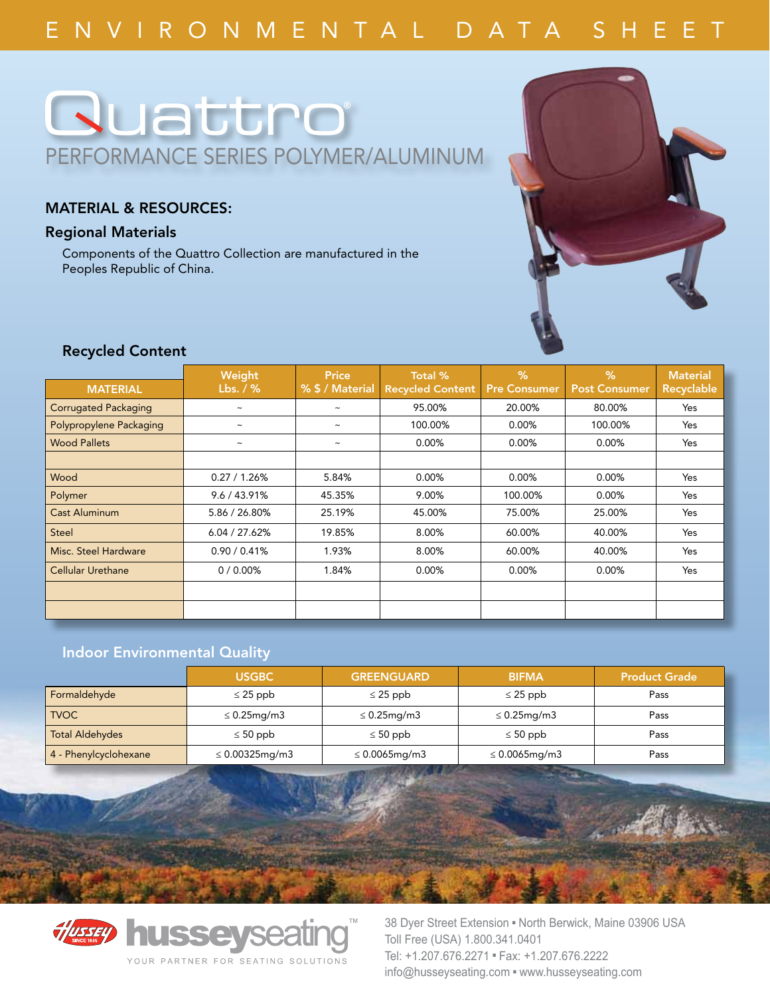# **Ruattro** performance series polymer/aluminum

### Material & Resources:

### Regional Materials

Components of the Quattro Collection are manufactured in the Peoples Republic of China.



## Recycled Content

|                             | Weight                    | <b>Price</b>          | Total %                 | %                   | %                    | <b>Material</b> |
|-----------------------------|---------------------------|-----------------------|-------------------------|---------------------|----------------------|-----------------|
| <b>MATERIAL</b>             | Lbs. $/$ %                | % \$ / Material       | <b>Recycled Content</b> | <b>Pre Consumer</b> | <b>Post Consumer</b> | Recyclable      |
| <b>Corrugated Packaging</b> | $\widetilde{\phantom{m}}$ | $\tilde{\phantom{a}}$ | 95.00%                  | 20.00%              | 80.00%               | Yes             |
| Polypropylene Packaging     | $\tilde{\phantom{a}}$     | $\tilde{\phantom{a}}$ | 100.00%                 | 0.00%               | 100.00%              | Yes             |
| <b>Wood Pallets</b>         | $\tilde{\phantom{a}}$     | $\tilde{\phantom{a}}$ | $0.00\%$                | 0.00%               | 0.00%                | Yes             |
|                             |                           |                       |                         |                     |                      |                 |
| Wood                        | 0.27 / 1.26%              | 5.84%                 | 0.00%                   | 0.00%               | 0.00%                | Yes             |
| Polymer                     | 9.6 / 43.91%              | 45.35%                | 9.00%                   | 100.00%             | 0.00%                | Yes             |
| <b>Cast Aluminum</b>        | 5.86 / 26.80%             | 25.19%                | 45.00%                  | 75.00%              | 25.00%               | Yes             |
| <b>Steel</b>                | 6.04 / 27.62%             | 19.85%                | 8.00%                   | 60.00%              | 40.00%               | Yes             |
| Misc. Steel Hardware        | 0.90 / 0.41%              | 1.93%                 | 8.00%                   | 60.00%              | 40.00%               | Yes             |
| <b>Cellular Urethane</b>    | $0/0.00\%$                | 1.84%                 | 0.00%                   | 0.00%               | 0.00%                | Yes             |
|                             |                           |                       |                         |                     |                      |                 |
|                             |                           |                       |                         |                     |                      |                 |

# Indoor Environmental Quality

|                        | <b>USGBC</b>            | <b>GREENGUARD</b>      | <b>BIFMA</b>        | <b>Product Grade</b> |
|------------------------|-------------------------|------------------------|---------------------|----------------------|
| Formaldehyde           | $\leq$ 25 ppb           | $\leq$ 25 ppb          | $\leq$ 25 ppb       | Pass                 |
| <b>TVOC</b>            | $\leq 0.25$ mg/m $3$    | $\leq$ 0.25mg/m3       | $\leq$ 0.25mg/m3    | Pass                 |
| <b>Total Aldehydes</b> | $\leq 50$ ppb           | $\leq 50$ ppb          | $\leq 50$ ppb       | Pass                 |
| 4 - Phenylcyclohexane  | $\leq 0.00325$ mg/m $3$ | $\leq 0.0065$ mg/m $3$ | $\leq 0.0065$ mg/m3 | Pass                 |



38 Dyer Street Extension . North Berwick, Maine 03906 USA Toll Free (USA) 1.800.341.0401 Tel: +1.207.676.2271 · Fax: +1.207.676.2222 info@husseyseating.com = www.husseyseating.com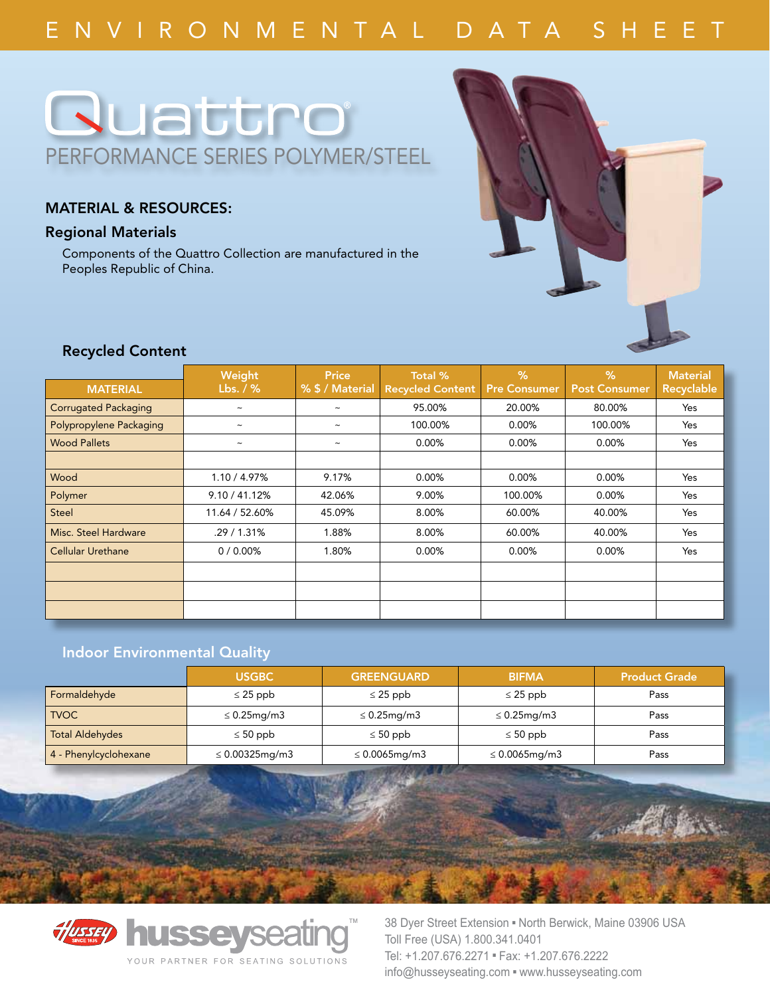# E n v i r o n m e n t a l D a t a S h ee t

# **Quattro** performance series polymer/steel

### Material & Resources:

#### Regional Materials

Components of the Quattro Collection are manufactured in the Peoples Republic of China.



### Recycled Content

|                             | Weight                    | <b>Price</b>          | Total %                 | %                   | $\%$                 | <b>Material</b> |
|-----------------------------|---------------------------|-----------------------|-------------------------|---------------------|----------------------|-----------------|
| <b>MATERIAL</b>             | Lbs. $/$ %                | % \$ / Material       | <b>Recycled Content</b> | <b>Pre Consumer</b> | <b>Post Consumer</b> | Recyclable      |
| <b>Corrugated Packaging</b> | $\widetilde{\phantom{m}}$ | $\tilde{\phantom{a}}$ | 95.00%                  | 20.00%              | 80.00%               | Yes             |
| Polypropylene Packaging     | $\widetilde{\phantom{m}}$ | $\tilde{\phantom{a}}$ | 100.00%                 | 0.00%               | 100.00%              | Yes             |
| <b>Wood Pallets</b>         | $\tilde{\phantom{a}}$     | $\tilde{\phantom{a}}$ | 0.00%                   | 0.00%               | 0.00%                | Yes             |
|                             |                           |                       |                         |                     |                      |                 |
| Wood                        | 1.10 / 4.97%              | 9.17%                 | 0.00%                   | 0.00%               | 0.00%                | Yes             |
| Polymer                     | 9.10 / 41.12%             | 42.06%                | 9.00%                   | 100.00%             | 0.00%                | Yes             |
| <b>Steel</b>                | 11.64 / 52.60%            | 45.09%                | 8.00%                   | 60.00%              | 40.00%               | Yes             |
| Misc. Steel Hardware        | .29/1.31%                 | 1.88%                 | 8.00%                   | 60.00%              | 40.00%               | Yes             |
| <b>Cellular Urethane</b>    | $0/0.00\%$                | 1.80%                 | 0.00%                   | 0.00%               | 0.00%                | Yes             |
|                             |                           |                       |                         |                     |                      |                 |
|                             |                           |                       |                         |                     |                      |                 |
|                             |                           |                       |                         |                     |                      |                 |

# Indoor Environmental Quality

|                        | <b>USGBC</b>            | <b>GREENGUARD</b>      | <b>BIFMA</b>        | <b>Product Grade</b> |
|------------------------|-------------------------|------------------------|---------------------|----------------------|
| Formaldehyde           | $\leq$ 25 ppb           | $\leq$ 25 ppb          | $\leq$ 25 ppb       | Pass                 |
| <b>TVOC</b>            | $\leq 0.25$ mg/m $3$    | $\leq$ 0.25mg/m3       | $\leq$ 0.25mg/m3    | Pass                 |
| <b>Total Aldehydes</b> | $\leq 50$ ppb           | $\leq 50$ ppb          | $\leq 50$ ppb       | Pass                 |
| 4 - Phenylcyclohexane  | $\leq 0.00325$ mg/m $3$ | $\leq 0.0065$ mg/m $3$ | $\leq 0.0065$ mg/m3 | Pass                 |



38 Dyer Street Extension . North Berwick, Maine 03906 USA Toll Free (USA) 1.800.341.0401 Tel: +1.207.676.2271 · Fax: +1.207.676.2222 info@husseyseating.com = www.husseyseating.com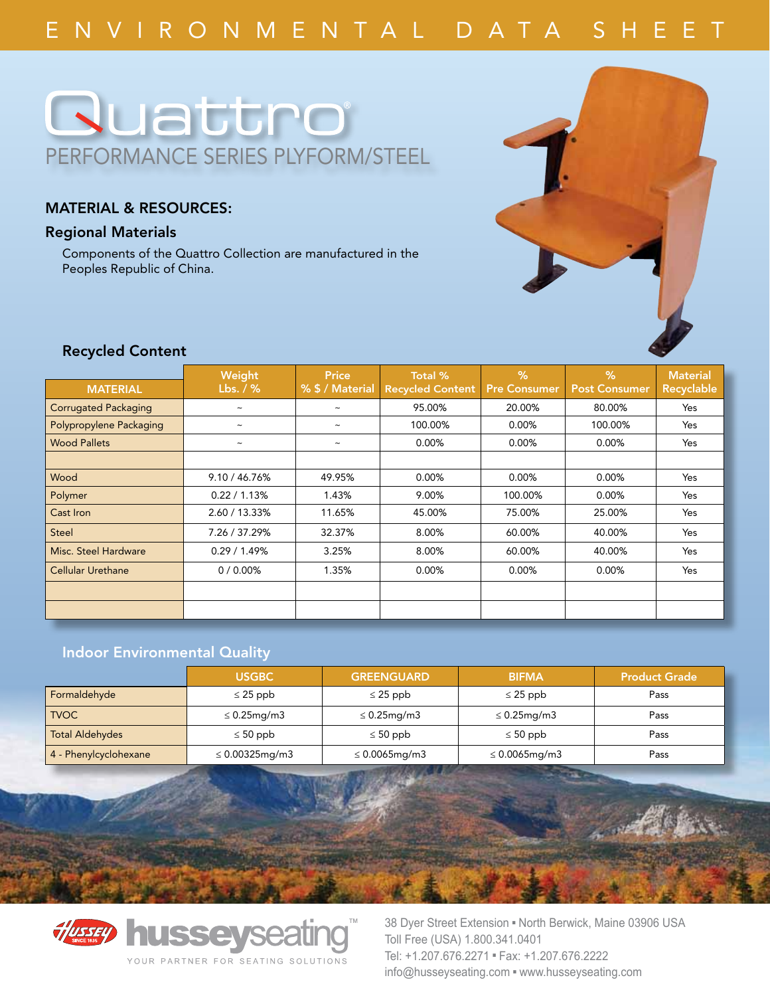# **Ruattro** performance series plyform/steel

### Material & Resources:

### Regional Materials

Components of the Quattro Collection are manufactured in the Peoples Republic of China.



## Recycled Content

|                             | Weight                    | <b>Price</b>          | Total %                 | %                   | $\%$                 | <b>Material</b> |
|-----------------------------|---------------------------|-----------------------|-------------------------|---------------------|----------------------|-----------------|
| <b>MATERIAL</b>             | Lbs. $/$ %                | % \$ / Material       | <b>Recycled Content</b> | <b>Pre Consumer</b> | <b>Post Consumer</b> | Recyclable      |
| <b>Corrugated Packaging</b> | $\widetilde{\phantom{m}}$ | $\tilde{\phantom{a}}$ | 95.00%                  | 20.00%              | 80.00%               | Yes             |
| Polypropylene Packaging     | $\tilde{}$                | $\tilde{\phantom{a}}$ | 100.00%                 | 0.00%               | 100.00%              | Yes             |
| <b>Wood Pallets</b>         | $\widetilde{\phantom{m}}$ | $\tilde{\phantom{a}}$ | 0.00%                   | 0.00%               | 0.00%                | Yes             |
|                             |                           |                       |                         |                     |                      |                 |
| Wood                        | 9.10 / 46.76%             | 49.95%                | 0.00%                   | 0.00%               | 0.00%                | Yes             |
| Polymer                     | 0.22 / 1.13%              | 1.43%                 | 9.00%                   | 100.00%             | 0.00%                | Yes             |
| Cast Iron                   | 2.60 / 13.33%             | 11.65%                | 45.00%                  | 75.00%              | 25.00%               | Yes             |
| <b>Steel</b>                | 7.26 / 37.29%             | 32.37%                | 8.00%                   | 60.00%              | 40.00%               | Yes             |
| Misc. Steel Hardware        | 0.29/1.49%                | 3.25%                 | 8.00%                   | 60.00%              | 40.00%               | Yes             |
| <b>Cellular Urethane</b>    | 0/0.00%                   | 1.35%                 | 0.00%                   | 0.00%               | 0.00%                | Yes             |
|                             |                           |                       |                         |                     |                      |                 |
|                             |                           |                       |                         |                     |                      |                 |

# Indoor Environmental Quality

|                        | <b>USGBC</b>            | <b>GREENGUARD</b>      | <b>BIFMA</b>        | <b>Product Grade</b> |
|------------------------|-------------------------|------------------------|---------------------|----------------------|
| Formaldehyde           | $\leq$ 25 ppb           | $\leq$ 25 ppb          | $\leq$ 25 ppb       | Pass                 |
| <b>TVOC</b>            | $\leq 0.25$ mg/m $3$    | $\leq$ 0.25mg/m3       | $\leq$ 0.25mg/m3    | Pass                 |
| <b>Total Aldehydes</b> | $\leq 50$ ppb           | $\leq 50$ ppb          | $\leq 50$ ppb       | Pass                 |
| 4 - Phenylcyclohexane  | $\leq 0.00325$ mg/m $3$ | $\leq 0.0065$ mg/m $3$ | $\leq 0.0065$ mg/m3 | Pass                 |



38 Dyer Street Extension . North Berwick, Maine 03906 USA Toll Free (USA) 1.800.341.0401 Tel: +1.207.676.2271 · Fax: +1.207.676.2222 info@husseyseating.com = www.husseyseating.com